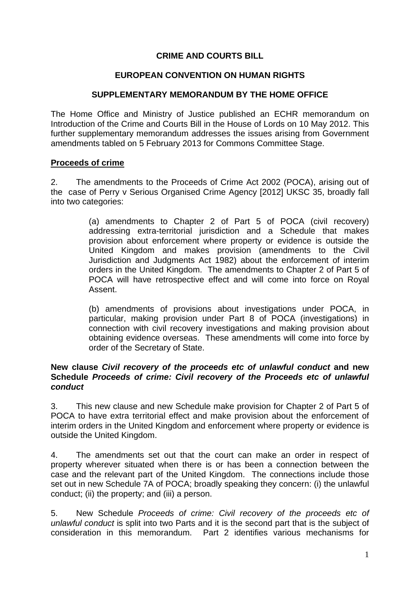## **CRIME AND COURTS BILL**

#### **EUROPEAN CONVENTION ON HUMAN RIGHTS**

### **SUPPLEMENTARY MEMORANDUM BY THE HOME OFFICE**

The Home Office and Ministry of Justice published an ECHR memorandum on Introduction of the Crime and Courts Bill in the House of Lords on 10 May 2012. This further supplementary memorandum addresses the issues arising from Government amendments tabled on 5 February 2013 for Commons Committee Stage.

#### **Proceeds of crime**

2. The amendments to the Proceeds of Crime Act 2002 (POCA), arising out of the case of Perry v Serious Organised Crime Agency [2012] UKSC 35, broadly fall into two categories:

> (a) amendments to Chapter 2 of Part 5 of POCA (civil recovery) addressing extra-territorial jurisdiction and a Schedule that makes provision about enforcement where property or evidence is outside the United Kingdom and makes provision (amendments to the Civil Jurisdiction and Judgments Act 1982) about the enforcement of interim orders in the United Kingdom. The amendments to Chapter 2 of Part 5 of POCA will have retrospective effect and will come into force on Royal Assent.

> (b) amendments of provisions about investigations under POCA, in particular, making provision under Part 8 of POCA (investigations) in connection with civil recovery investigations and making provision about obtaining evidence overseas. These amendments will come into force by order of the Secretary of State.

#### **New clause** *Civil recovery of the proceeds etc of unlawful conduct* **and new Schedule** *Proceeds of crime: Civil recovery of the Proceeds etc of unlawful conduct*

3. This new clause and new Schedule make provision for Chapter 2 of Part 5 of POCA to have extra territorial effect and make provision about the enforcement of interim orders in the United Kingdom and enforcement where property or evidence is outside the United Kingdom.

4. The amendments set out that the court can make an order in respect of property wherever situated when there is or has been a connection between the case and the relevant part of the United Kingdom. The connections include those set out in new Schedule 7A of POCA; broadly speaking they concern: (i) the unlawful conduct; (ii) the property; and (iii) a person.

5. New Schedule *Proceeds of crime: Civil recovery of the proceeds etc of unlawful conduct* is split into two Parts and it is the second part that is the subject of consideration in this memorandum. Part 2 identifies various mechanisms for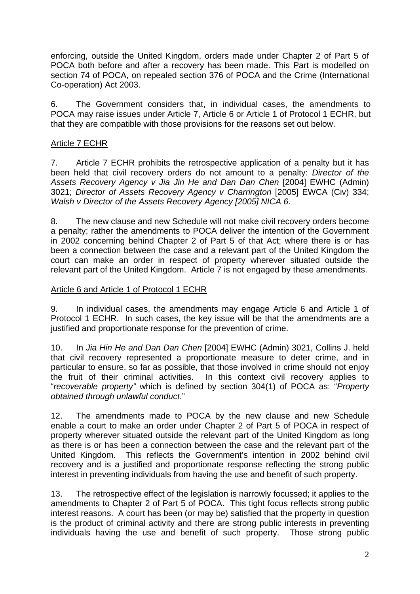enforcing, outside the United Kingdom, orders made under Chapter 2 of Part 5 of POCA both before and after a recovery has been made. This Part is modelled on section 74 of POCA, on repealed section 376 of POCA and the Crime (International Co-operation) Act 2003.

6. The Government considers that, in individual cases, the amendments to POCA may raise issues under Article 7, Article 6 or Article 1 of Protocol 1 ECHR, but that they are compatible with those provisions for the reasons set out below.

### Article 7 ECHR

7. Article 7 ECHR prohibits the retrospective application of a penalty but it has been held that civil recovery orders do not amount to a penalty: *Director of the Assets Recovery Agency v Jia Jin He and Dan Dan Chen* [2004] EWHC (Admin) 3021; *Director of Assets Recovery Agency v Charrington* [2005] EWCA (Civ) 334; *Walsh v Director of the Assets Recovery Agency [2005] NICA 6*.

8. The new clause and new Schedule will not make civil recovery orders become a penalty; rather the amendments to POCA deliver the intention of the Government in 2002 concerning behind Chapter 2 of Part 5 of that Act; where there is or has been a connection between the case and a relevant part of the United Kingdom the court can make an order in respect of property wherever situated outside the relevant part of the United Kingdom. Article 7 is not engaged by these amendments.

#### Article 6 and Article 1 of Protocol 1 ECHR

9. In individual cases, the amendments may engage Article 6 and Article 1 of Protocol 1 ECHR. In such cases, the key issue will be that the amendments are a justified and proportionate response for the prevention of crime.

10. In *Jia Hin He and Dan Dan Chen* [2004] EWHC (Admin) 3021, Collins J. held that civil recovery represented a proportionate measure to deter crime, and in particular to ensure, so far as possible, that those involved in crime should not enjoy the fruit of their criminal activities. In this context civil recovery applies to "*recoverable property"* which is defined by section 304(1) of POCA as: "*Property obtained through unlawful conduct*."

12. The amendments made to POCA by the new clause and new Schedule enable a court to make an order under Chapter 2 of Part 5 of POCA in respect of property wherever situated outside the relevant part of the United Kingdom as long as there is or has been a connection between the case and the relevant part of the United Kingdom. This reflects the Government's intention in 2002 behind civil recovery and is a justified and proportionate response reflecting the strong public interest in preventing individuals from having the use and benefit of such property.

13. The retrospective effect of the legislation is narrowly focussed; it applies to the amendments to Chapter 2 of Part 5 of POCA. This tight focus reflects strong public interest reasons. A court has been (or may be) satisfied that the property in question is the product of criminal activity and there are strong public interests in preventing individuals having the use and benefit of such property. Those strong public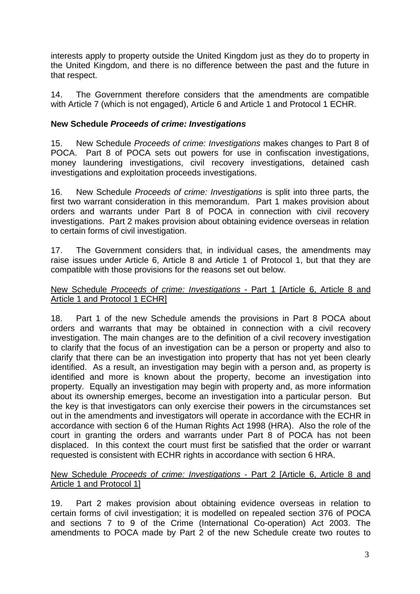interests apply to property outside the United Kingdom just as they do to property in the United Kingdom, and there is no difference between the past and the future in that respect.

14. The Government therefore considers that the amendments are compatible with Article 7 (which is not engaged), Article 6 and Article 1 and Protocol 1 ECHR.

### **New Schedule** *Proceeds of crime: Investigations*

15. New Schedule *Proceeds of crime: Investigations* makes changes to Part 8 of POCA. Part 8 of POCA sets out powers for use in confiscation investigations, money laundering investigations, civil recovery investigations, detained cash investigations and exploitation proceeds investigations.

16. New Schedule *Proceeds of crime: Investigations* is split into three parts, the first two warrant consideration in this memorandum. Part 1 makes provision about orders and warrants under Part 8 of POCA in connection with civil recovery investigations. Part 2 makes provision about obtaining evidence overseas in relation to certain forms of civil investigation.

17. The Government considers that, in individual cases, the amendments may raise issues under Article 6, Article 8 and Article 1 of Protocol 1, but that they are compatible with those provisions for the reasons set out below.

#### New Schedule *Proceeds of crime: Investigations* - Part 1 [Article 6, Article 8 and Article 1 and Protocol 1 ECHR]

18. Part 1 of the new Schedule amends the provisions in Part 8 POCA about orders and warrants that may be obtained in connection with a civil recovery investigation. The main changes are to the definition of a civil recovery investigation to clarify that the focus of an investigation can be a person or property and also to clarify that there can be an investigation into property that has not yet been clearly identified. As a result, an investigation may begin with a person and, as property is identified and more is known about the property, become an investigation into property. Equally an investigation may begin with property and, as more information about its ownership emerges, become an investigation into a particular person. But the key is that investigators can only exercise their powers in the circumstances set out in the amendments and investigators will operate in accordance with the ECHR in accordance with section 6 of the Human Rights Act 1998 (HRA). Also the role of the court in granting the orders and warrants under Part 8 of POCA has not been displaced. In this context the court must first be satisfied that the order or warrant requested is consistent with ECHR rights in accordance with section 6 HRA.

### New Schedule *Proceeds of crime: Investigations* - Part 2 [Article 6, Article 8 and Article 1 and Protocol 1]

19. Part 2 makes provision about obtaining evidence overseas in relation to certain forms of civil investigation; it is modelled on repealed section 376 of POCA and sections 7 to 9 of the Crime (International Co-operation) Act 2003. The amendments to POCA made by Part 2 of the new Schedule create two routes to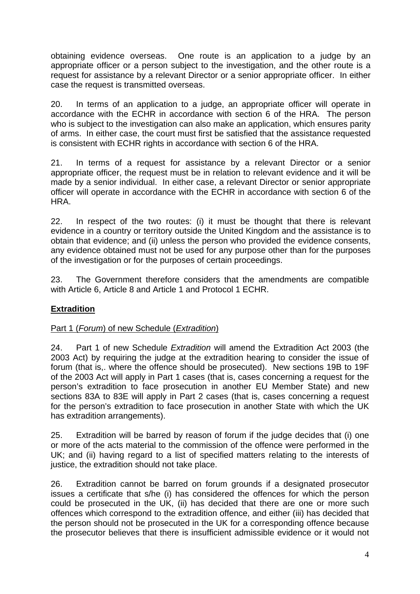obtaining evidence overseas. One route is an application to a judge by an appropriate officer or a person subject to the investigation, and the other route is a request for assistance by a relevant Director or a senior appropriate officer. In either case the request is transmitted overseas.

20. In terms of an application to a judge, an appropriate officer will operate in accordance with the ECHR in accordance with section 6 of the HRA. The person who is subject to the investigation can also make an application, which ensures parity of arms. In either case, the court must first be satisfied that the assistance requested is consistent with ECHR rights in accordance with section 6 of the HRA.

21. In terms of a request for assistance by a relevant Director or a senior appropriate officer, the request must be in relation to relevant evidence and it will be made by a senior individual. In either case, a relevant Director or senior appropriate officer will operate in accordance with the ECHR in accordance with section 6 of the HRA.

22. In respect of the two routes: (i) it must be thought that there is relevant evidence in a country or territory outside the United Kingdom and the assistance is to obtain that evidence; and (ii) unless the person who provided the evidence consents, any evidence obtained must not be used for any purpose other than for the purposes of the investigation or for the purposes of certain proceedings.

23. The Government therefore considers that the amendments are compatible with Article 6, Article 8 and Article 1 and Protocol 1 ECHR.

## **Extradition**

## Part 1 (*Forum*) of new Schedule (*Extradition*)

24. Part 1 of new Schedule *Extradition* will amend the Extradition Act 2003 (the 2003 Act) by requiring the judge at the extradition hearing to consider the issue of forum (that is,. where the offence should be prosecuted). New sections 19B to 19F of the 2003 Act will apply in Part 1 cases (that is, cases concerning a request for the person's extradition to face prosecution in another EU Member State) and new sections 83A to 83E will apply in Part 2 cases (that is, cases concerning a request for the person's extradition to face prosecution in another State with which the UK has extradition arrangements).

25. Extradition will be barred by reason of forum if the judge decides that (i) one or more of the acts material to the commission of the offence were performed in the UK; and (ii) having regard to a list of specified matters relating to the interests of justice, the extradition should not take place.

26. Extradition cannot be barred on forum grounds if a designated prosecutor issues a certificate that s/he (i) has considered the offences for which the person could be prosecuted in the UK, (ii) has decided that there are one or more such offences which correspond to the extradition offence, and either (iii) has decided that the person should not be prosecuted in the UK for a corresponding offence because the prosecutor believes that there is insufficient admissible evidence or it would not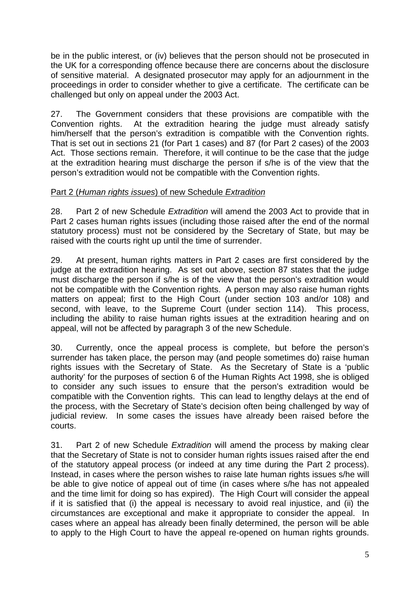be in the public interest, or (iv) believes that the person should not be prosecuted in the UK for a corresponding offence because there are concerns about the disclosure of sensitive material. A designated prosecutor may apply for an adjournment in the proceedings in order to consider whether to give a certificate. The certificate can be challenged but only on appeal under the 2003 Act.

27. The Government considers that these provisions are compatible with the Convention rights. At the extradition hearing the judge must already satisfy him/herself that the person's extradition is compatible with the Convention rights. That is set out in sections 21 (for Part 1 cases) and 87 (for Part 2 cases) of the 2003 Act. Those sections remain. Therefore, it will continue to be the case that the judge at the extradition hearing must discharge the person if s/he is of the view that the person's extradition would not be compatible with the Convention rights.

### Part 2 (*Human rights issues*) of new Schedule *Extradition*

28. Part 2 of new Schedule *Extradition* will amend the 2003 Act to provide that in Part 2 cases human rights issues (including those raised after the end of the normal statutory process) must not be considered by the Secretary of State, but may be raised with the courts right up until the time of surrender.

29. At present, human rights matters in Part 2 cases are first considered by the judge at the extradition hearing. As set out above, section 87 states that the judge must discharge the person if s/he is of the view that the person's extradition would not be compatible with the Convention rights. A person may also raise human rights matters on appeal; first to the High Court (under section 103 and/or 108) and second, with leave, to the Supreme Court (under section 114). This process, including the ability to raise human rights issues at the extradition hearing and on appeal, will not be affected by paragraph 3 of the new Schedule.

30. Currently, once the appeal process is complete, but before the person's surrender has taken place, the person may (and people sometimes do) raise human rights issues with the Secretary of State. As the Secretary of State is a 'public authority' for the purposes of section 6 of the Human Rights Act 1998, she is obliged to consider any such issues to ensure that the person's extradition would be compatible with the Convention rights. This can lead to lengthy delays at the end of the process, with the Secretary of State's decision often being challenged by way of iudicial review. In some cases the issues have already been raised before the courts.

31. Part 2 of new Schedule *Extradition* will amend the process by making clear that the Secretary of State is not to consider human rights issues raised after the end of the statutory appeal process (or indeed at any time during the Part 2 process). Instead, in cases where the person wishes to raise late human rights issues s/he will be able to give notice of appeal out of time (in cases where s/he has not appealed and the time limit for doing so has expired). The High Court will consider the appeal if it is satisfied that (i) the appeal is necessary to avoid real injustice, and (ii) the circumstances are exceptional and make it appropriate to consider the appeal. In cases where an appeal has already been finally determined, the person will be able to apply to the High Court to have the appeal re-opened on human rights grounds.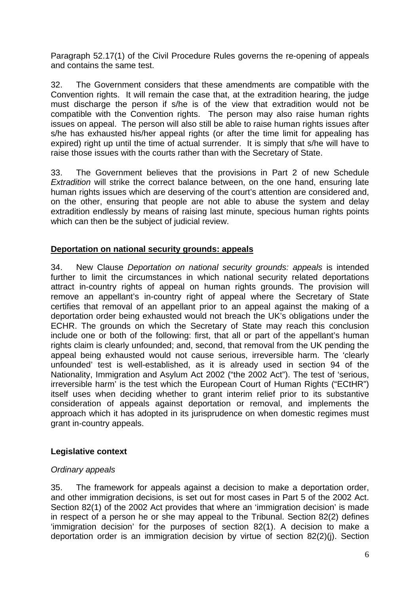Paragraph 52.17(1) of the Civil Procedure Rules governs the re-opening of appeals and contains the same test.

32. The Government considers that these amendments are compatible with the Convention rights. It will remain the case that, at the extradition hearing, the judge must discharge the person if s/he is of the view that extradition would not be compatible with the Convention rights. The person may also raise human rights issues on appeal. The person will also still be able to raise human rights issues after s/he has exhausted his/her appeal rights (or after the time limit for appealing has expired) right up until the time of actual surrender. It is simply that s/he will have to raise those issues with the courts rather than with the Secretary of State.

33. The Government believes that the provisions in Part 2 of new Schedule *Extradition* will strike the correct balance between, on the one hand, ensuring late human rights issues which are deserving of the court's attention are considered and, on the other, ensuring that people are not able to abuse the system and delay extradition endlessly by means of raising last minute, specious human rights points which can then be the subject of judicial review.

## **Deportation on national security grounds: appeals**

34. New Clause *Deportation on national security grounds: appeals* is intended further to limit the circumstances in which national security related deportations attract in-country rights of appeal on human rights grounds. The provision will remove an appellant's in-country right of appeal where the Secretary of State certifies that removal of an appellant prior to an appeal against the making of a deportation order being exhausted would not breach the UK's obligations under the ECHR. The grounds on which the Secretary of State may reach this conclusion include one or both of the following: first, that all or part of the appellant's human rights claim is clearly unfounded; and, second, that removal from the UK pending the appeal being exhausted would not cause serious, irreversible harm. The 'clearly unfounded' test is well-established, as it is already used in section 94 of the Nationality, Immigration and Asylum Act 2002 ("the 2002 Act"). The test of 'serious, irreversible harm' is the test which the European Court of Human Rights ("ECtHR") itself uses when deciding whether to grant interim relief prior to its substantive consideration of appeals against deportation or removal, and implements the approach which it has adopted in its jurisprudence on when domestic regimes must grant in-country appeals.

#### **Legislative context**

## *Ordinary appeals*

35. The framework for appeals against a decision to make a deportation order, and other immigration decisions, is set out for most cases in Part 5 of the 2002 Act. Section 82(1) of the 2002 Act provides that where an 'immigration decision' is made in respect of a person he or she may appeal to the Tribunal. Section 82(2) defines 'immigration decision' for the purposes of section 82(1). A decision to make a deportation order is an immigration decision by virtue of section 82(2)(j). Section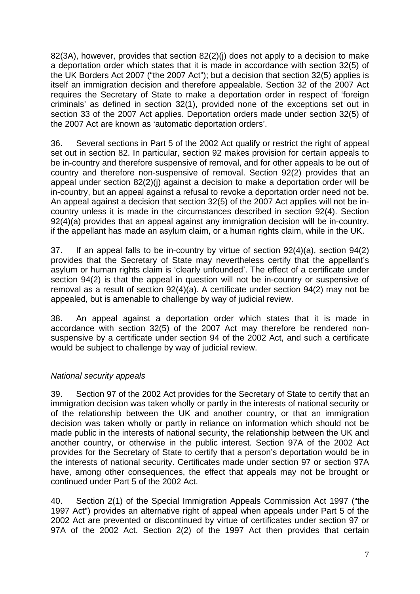82(3A), however, provides that section 82(2)(j) does not apply to a decision to make a deportation order which states that it is made in accordance with section 32(5) of the UK Borders Act 2007 ("the 2007 Act"); but a decision that section 32(5) applies is itself an immigration decision and therefore appealable. Section 32 of the 2007 Act requires the Secretary of State to make a deportation order in respect of 'foreign criminals' as defined in section 32(1), provided none of the exceptions set out in section 33 of the 2007 Act applies. Deportation orders made under section 32(5) of the 2007 Act are known as 'automatic deportation orders'.

36. Several sections in Part 5 of the 2002 Act qualify or restrict the right of appeal set out in section 82. In particular, section 92 makes provision for certain appeals to be in-country and therefore suspensive of removal, and for other appeals to be out of country and therefore non-suspensive of removal. Section 92(2) provides that an appeal under section 82(2)(j) against a decision to make a deportation order will be in-country, but an appeal against a refusal to revoke a deportation order need not be. An appeal against a decision that section 32(5) of the 2007 Act applies will not be incountry unless it is made in the circumstances described in section 92(4). Section 92(4)(a) provides that an appeal against any immigration decision will be in-country, if the appellant has made an asylum claim, or a human rights claim, while in the UK.

37. If an appeal falls to be in-country by virtue of section 92(4)(a), section 94(2) provides that the Secretary of State may nevertheless certify that the appellant's asylum or human rights claim is 'clearly unfounded'. The effect of a certificate under section 94(2) is that the appeal in question will not be in-country or suspensive of removal as a result of section 92(4)(a). A certificate under section 94(2) may not be appealed, but is amenable to challenge by way of judicial review.

38. An appeal against a deportation order which states that it is made in accordance with section 32(5) of the 2007 Act may therefore be rendered nonsuspensive by a certificate under section 94 of the 2002 Act, and such a certificate would be subject to challenge by way of judicial review.

## *National security appeals*

39. Section 97 of the 2002 Act provides for the Secretary of State to certify that an immigration decision was taken wholly or partly in the interests of national security or of the relationship between the UK and another country, or that an immigration decision was taken wholly or partly in reliance on information which should not be made public in the interests of national security, the relationship between the UK and another country, or otherwise in the public interest. Section 97A of the 2002 Act provides for the Secretary of State to certify that a person's deportation would be in the interests of national security. Certificates made under section 97 or section 97A have, among other consequences, the effect that appeals may not be brought or continued under Part 5 of the 2002 Act.

40. Section 2(1) of the Special Immigration Appeals Commission Act 1997 ("the 1997 Act") provides an alternative right of appeal when appeals under Part 5 of the 2002 Act are prevented or discontinued by virtue of certificates under section 97 or 97A of the 2002 Act. Section 2(2) of the 1997 Act then provides that certain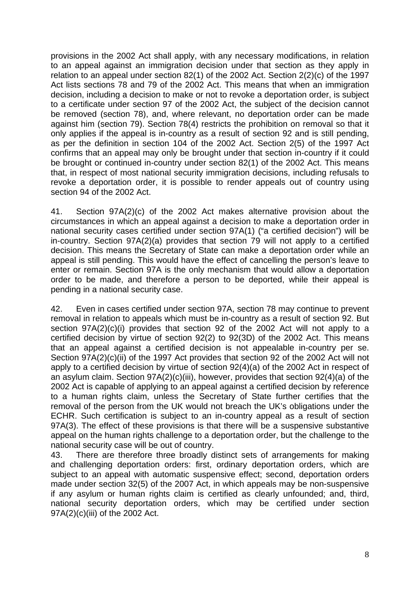provisions in the 2002 Act shall apply, with any necessary modifications, in relation to an appeal against an immigration decision under that section as they apply in relation to an appeal under section 82(1) of the 2002 Act. Section 2(2)(c) of the 1997 Act lists sections 78 and 79 of the 2002 Act. This means that when an immigration decision, including a decision to make or not to revoke a deportation order, is subject to a certificate under section 97 of the 2002 Act, the subject of the decision cannot be removed (section 78), and, where relevant, no deportation order can be made against him (section 79). Section 78(4) restricts the prohibition on removal so that it only applies if the appeal is in-country as a result of section 92 and is still pending, as per the definition in section 104 of the 2002 Act. Section 2(5) of the 1997 Act confirms that an appeal may only be brought under that section in-country if it could be brought or continued in-country under section 82(1) of the 2002 Act. This means that, in respect of most national security immigration decisions, including refusals to revoke a deportation order, it is possible to render appeals out of country using section 94 of the 2002 Act.

41. Section 97A(2)(c) of the 2002 Act makes alternative provision about the circumstances in which an appeal against a decision to make a deportation order in national security cases certified under section 97A(1) ("a certified decision") will be in-country. Section 97A(2)(a) provides that section 79 will not apply to a certified decision. This means the Secretary of State can make a deportation order while an appeal is still pending. This would have the effect of cancelling the person's leave to enter or remain. Section 97A is the only mechanism that would allow a deportation order to be made, and therefore a person to be deported, while their appeal is pending in a national security case.

42. Even in cases certified under section 97A, section 78 may continue to prevent removal in relation to appeals which must be in-country as a result of section 92. But section 97A(2)(c)(i) provides that section 92 of the 2002 Act will not apply to a certified decision by virtue of section 92(2) to 92(3D) of the 2002 Act. This means that an appeal against a certified decision is not appealable in-country per se. Section 97A(2)(c)(ii) of the 1997 Act provides that section 92 of the 2002 Act will not apply to a certified decision by virtue of section 92(4)(a) of the 2002 Act in respect of an asylum claim. Section 97A(2)(c)(iii), however, provides that section 92(4)(a) of the 2002 Act is capable of applying to an appeal against a certified decision by reference to a human rights claim, unless the Secretary of State further certifies that the removal of the person from the UK would not breach the UK's obligations under the ECHR. Such certification is subject to an in-country appeal as a result of section 97A(3). The effect of these provisions is that there will be a suspensive substantive appeal on the human rights challenge to a deportation order, but the challenge to the national security case will be out of country.

43. There are therefore three broadly distinct sets of arrangements for making and challenging deportation orders: first, ordinary deportation orders, which are subject to an appeal with automatic suspensive effect; second, deportation orders made under section 32(5) of the 2007 Act, in which appeals may be non-suspensive if any asylum or human rights claim is certified as clearly unfounded; and, third, national security deportation orders, which may be certified under section 97A(2)(c)(iii) of the 2002 Act.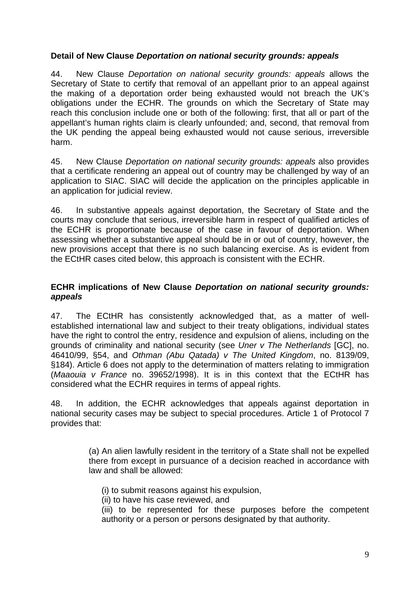### **Detail of New Clause** *Deportation on national security grounds: appeals*

44. New Clause *Deportation on national security grounds: appeals* allows the Secretary of State to certify that removal of an appellant prior to an appeal against the making of a deportation order being exhausted would not breach the UK's obligations under the ECHR. The grounds on which the Secretary of State may reach this conclusion include one or both of the following: first, that all or part of the appellant's human rights claim is clearly unfounded; and, second, that removal from the UK pending the appeal being exhausted would not cause serious, irreversible harm.

45. New Clause *Deportation on national security grounds: appeals* also provides that a certificate rendering an appeal out of country may be challenged by way of an application to SIAC. SIAC will decide the application on the principles applicable in an application for judicial review.

46. In substantive appeals against deportation, the Secretary of State and the courts may conclude that serious, irreversible harm in respect of qualified articles of the ECHR is proportionate because of the case in favour of deportation. When assessing whether a substantive appeal should be in or out of country, however, the new provisions accept that there is no such balancing exercise. As is evident from the ECtHR cases cited below, this approach is consistent with the ECHR.

### **ECHR implications of New Clause** *Deportation on national security grounds: appeals*

47. The ECtHR has consistently acknowledged that, as a matter of wellestablished international law and subject to their treaty obligations, individual states have the right to control the entry, residence and expulsion of aliens, including on the grounds of criminality and national security (see *Uner v The Netherlands* [GC], no. 46410/99, §54, and *Othman (Abu Qatada) v The United Kingdom*, no. 8139/09, §184). Article 6 does not apply to the determination of matters relating to immigration (*Maaouia v France* no. 39652/1998). It is in this context that the ECtHR has considered what the ECHR requires in terms of appeal rights.

48. In addition, the ECHR acknowledges that appeals against deportation in national security cases may be subject to special procedures. Article 1 of Protocol 7 provides that:

> (a) An alien lawfully resident in the territory of a State shall not be expelled there from except in pursuance of a decision reached in accordance with law and shall be allowed:

- (i) to submit reasons against his expulsion,
- (ii) to have his case reviewed, and

(iii) to be represented for these purposes before the competent authority or a person or persons designated by that authority.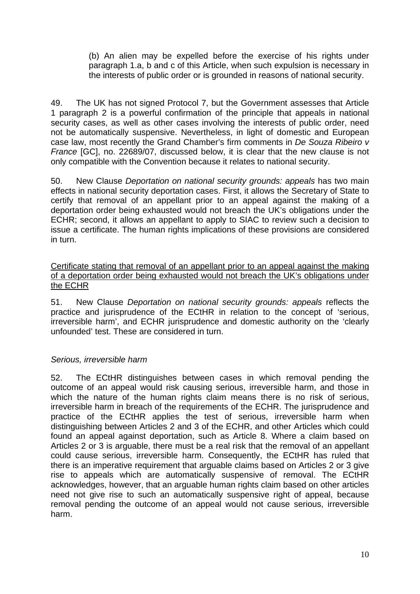(b) An alien may be expelled before the exercise of his rights under paragraph 1.a, b and c of this Article, when such expulsion is necessary in the interests of public order or is grounded in reasons of national security.

49. The UK has not signed Protocol 7, but the Government assesses that Article 1 paragraph 2 is a powerful confirmation of the principle that appeals in national security cases, as well as other cases involving the interests of public order, need not be automatically suspensive. Nevertheless, in light of domestic and European case law, most recently the Grand Chamber's firm comments in *De Souza Ribeiro v France* [GC], no. 22689/07, discussed below, it is clear that the new clause is not only compatible with the Convention because it relates to national security.

50. New Clause *Deportation on national security grounds: appeals* has two main effects in national security deportation cases. First, it allows the Secretary of State to certify that removal of an appellant prior to an appeal against the making of a deportation order being exhausted would not breach the UK's obligations under the ECHR; second, it allows an appellant to apply to SIAC to review such a decision to issue a certificate. The human rights implications of these provisions are considered in turn.

#### Certificate stating that removal of an appellant prior to an appeal against the making of a deportation order being exhausted would not breach the UK's obligations under the ECHR

51. New Clause *Deportation on national security grounds: appeals* reflects the practice and jurisprudence of the ECtHR in relation to the concept of 'serious, irreversible harm', and ECHR jurisprudence and domestic authority on the 'clearly unfounded' test. These are considered in turn.

## *Serious, irreversible harm*

52. The ECtHR distinguishes between cases in which removal pending the outcome of an appeal would risk causing serious, irreversible harm, and those in which the nature of the human rights claim means there is no risk of serious, irreversible harm in breach of the requirements of the ECHR. The jurisprudence and practice of the ECtHR applies the test of serious, irreversible harm when distinguishing between Articles 2 and 3 of the ECHR, and other Articles which could found an appeal against deportation, such as Article 8. Where a claim based on Articles 2 or 3 is arguable, there must be a real risk that the removal of an appellant could cause serious, irreversible harm. Consequently, the ECtHR has ruled that there is an imperative requirement that arguable claims based on Articles 2 or 3 give rise to appeals which are automatically suspensive of removal. The ECtHR acknowledges, however, that an arguable human rights claim based on other articles need not give rise to such an automatically suspensive right of appeal, because removal pending the outcome of an appeal would not cause serious, irreversible harm.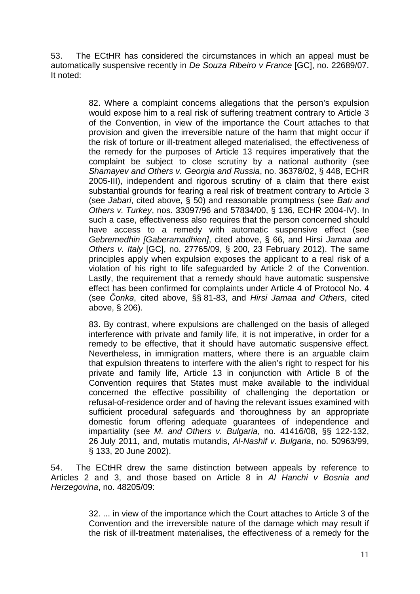53. The ECtHR has considered the circumstances in which an appeal must be automatically suspensive recently in *De Souza Ribeiro v France* [GC], no. 22689/07. It noted:

> 82. Where a complaint concerns allegations that the person's expulsion would expose him to a real risk of suffering treatment contrary to Article 3 of the Convention, in view of the importance the Court attaches to that provision and given the irreversible nature of the harm that might occur if the risk of torture or ill-treatment alleged materialised, the effectiveness of the remedy for the purposes of Article 13 requires imperatively that the complaint be subject to close scrutiny by a national authority (see *Shamayev and Others v. Georgia and Russia*, no. 36378/02, § 448, ECHR 2005-III), independent and rigorous scrutiny of a claim that there exist substantial grounds for fearing a real risk of treatment contrary to Article 3 (see *Jabari*, cited above, § 50) and reasonable promptness (see *Batı and Others v. Turkey*, nos. 33097/96 and 57834/00, § 136, ECHR 2004-IV). In such a case, effectiveness also requires that the person concerned should have access to a remedy with automatic suspensive effect (see *Gebremedhin [Gaberamadhien]*, cited above, § 66, and Hirsi *Jamaa and Others v. Italy* [GC], no. 27765/09, § 200, 23 February 2012). The same principles apply when expulsion exposes the applicant to a real risk of a violation of his right to life safeguarded by Article 2 of the Convention. Lastly, the requirement that a remedy should have automatic suspensive effect has been confirmed for complaints under Article 4 of Protocol No. 4 (see *Čonka*, cited above, §§ 81-83, and *Hirsi Jamaa and Others*, cited above, § 206).

> 83. By contrast, where expulsions are challenged on the basis of alleged interference with private and family life, it is not imperative, in order for a remedy to be effective, that it should have automatic suspensive effect. Nevertheless, in immigration matters, where there is an arguable claim that expulsion threatens to interfere with the alien's right to respect for his private and family life, Article 13 in conjunction with Article 8 of the Convention requires that States must make available to the individual concerned the effective possibility of challenging the deportation or refusal-of-residence order and of having the relevant issues examined with sufficient procedural safeguards and thoroughness by an appropriate domestic forum offering adequate guarantees of independence and impartiality (see *M. and Others v. Bulgaria*, no. 41416/08, §§ 122-132, 26 July 2011, and, mutatis mutandis, *Al-Nashif v. Bulgaria*, no. 50963/99, § 133, 20 June 2002).

54. The ECtHR drew the same distinction between appeals by reference to Articles 2 and 3, and those based on Article 8 in *Al Hanchi v Bosnia and Herzegovina*, no. 48205/09:

> 32. ... in view of the importance which the Court attaches to Article 3 of the Convention and the irreversible nature of the damage which may result if the risk of ill-treatment materialises, the effectiveness of a remedy for the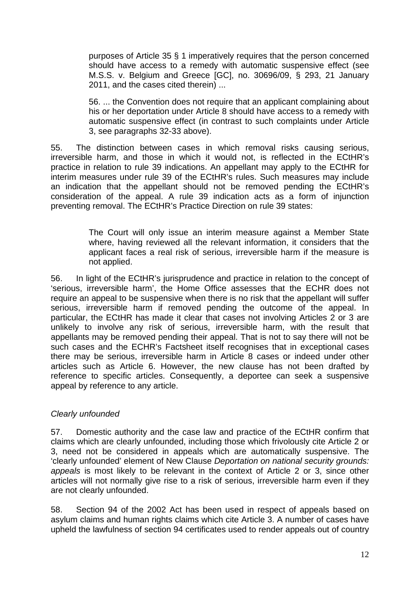purposes of Article 35 § 1 imperatively requires that the person concerned should have access to a remedy with automatic suspensive effect (see M.S.S. v. Belgium and Greece [GC], no. 30696/09, § 293, 21 January 2011, and the cases cited therein) ...

56. ... the Convention does not require that an applicant complaining about his or her deportation under Article 8 should have access to a remedy with automatic suspensive effect (in contrast to such complaints under Article 3, see paragraphs 32-33 above).

55. The distinction between cases in which removal risks causing serious, irreversible harm, and those in which it would not, is reflected in the ECtHR's practice in relation to rule 39 indications. An appellant may apply to the ECtHR for interim measures under rule 39 of the ECtHR's rules. Such measures may include an indication that the appellant should not be removed pending the ECtHR's consideration of the appeal. A rule 39 indication acts as a form of injunction preventing removal. The ECtHR's Practice Direction on rule 39 states:

> The Court will only issue an interim measure against a Member State where, having reviewed all the relevant information, it considers that the applicant faces a real risk of serious, irreversible harm if the measure is not applied.

56. In light of the ECtHR's jurisprudence and practice in relation to the concept of 'serious, irreversible harm', the Home Office assesses that the ECHR does not require an appeal to be suspensive when there is no risk that the appellant will suffer serious, irreversible harm if removed pending the outcome of the appeal. In particular, the ECtHR has made it clear that cases not involving Articles 2 or 3 are unlikely to involve any risk of serious, irreversible harm, with the result that appellants may be removed pending their appeal. That is not to say there will not be such cases and the ECHR's Factsheet itself recognises that in exceptional cases there may be serious, irreversible harm in Article 8 cases or indeed under other articles such as Article 6. However, the new clause has not been drafted by reference to specific articles. Consequently, a deportee can seek a suspensive appeal by reference to any article.

#### *Clearly unfounded*

57. Domestic authority and the case law and practice of the ECtHR confirm that claims which are clearly unfounded, including those which frivolously cite Article 2 or 3, need not be considered in appeals which are automatically suspensive. The 'clearly unfounded' element of New Clause *Deportation on national security grounds: appeals* is most likely to be relevant in the context of Article 2 or 3, since other articles will not normally give rise to a risk of serious, irreversible harm even if they are not clearly unfounded.

58. Section 94 of the 2002 Act has been used in respect of appeals based on asylum claims and human rights claims which cite Article 3. A number of cases have upheld the lawfulness of section 94 certificates used to render appeals out of country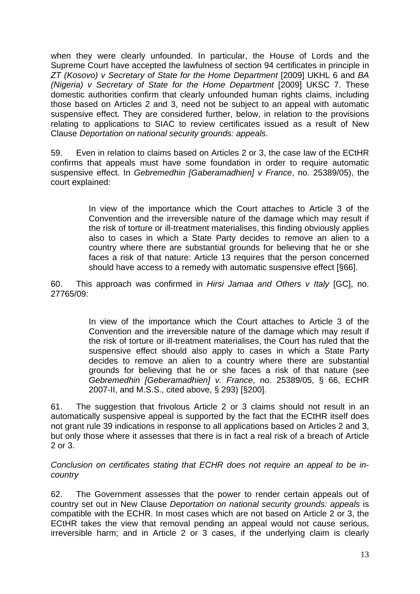when they were clearly unfounded. In particular, the House of Lords and the Supreme Court have accepted the lawfulness of section 94 certificates in principle in *ZT (Kosovo) v Secretary of State for the Home Department* [2009] UKHL 6 and *BA (Nigeria) v Secretary of State for the Home Department* [2009] UKSC 7. These domestic authorities confirm that clearly unfounded human rights claims, including those based on Articles 2 and 3, need not be subject to an appeal with automatic suspensive effect. They are considered further, below, in relation to the provisions relating to applications to SIAC to review certificates issued as a result of New Clause *Deportation on national security grounds: appeals*.

59. Even in relation to claims based on Articles 2 or 3, the case law of the ECtHR confirms that appeals must have some foundation in order to require automatic suspensive effect. In *Gebremedhin [Gaberamadhien] v France*, no. 25389/05), the court explained:

> In view of the importance which the Court attaches to Article 3 of the Convention and the irreversible nature of the damage which may result if the risk of torture or ill-treatment materialises, this finding obviously applies also to cases in which a State Party decides to remove an alien to a country where there are substantial grounds for believing that he or she faces a risk of that nature: Article 13 requires that the person concerned should have access to a remedy with automatic suspensive effect [§66].

60. This approach was confirmed in *Hirsi Jamaa and Others v Italy* [GC], no. 27765/09:

> In view of the importance which the Court attaches to Article 3 of the Convention and the irreversible nature of the damage which may result if the risk of torture or ill-treatment materialises, the Court has ruled that the suspensive effect should also apply to cases in which a State Party decides to remove an alien to a country where there are substantial grounds for believing that he or she faces a risk of that nature (see *Gebremedhin [Geberamadhien] v. France*, no. 25389/05, § 66, ECHR 2007-II, and M.S.S., cited above, § 293) [§200].

61. The suggestion that frivolous Article 2 or 3 claims should not result in an automatically suspensive appeal is supported by the fact that the ECtHR itself does not grant rule 39 indications in response to all applications based on Articles 2 and 3, but only those where it assesses that there is in fact a real risk of a breach of Article 2 or 3.

*Conclusion on certificates stating that ECHR does not require an appeal to be incountry*

62. The Government assesses that the power to render certain appeals out of country set out in New Clause *Deportation on national security grounds: appeals* is compatible with the ECHR. In most cases which are not based on Article 2 or 3, the ECtHR takes the view that removal pending an appeal would not cause serious, irreversible harm; and in Article 2 or 3 cases, if the underlying claim is clearly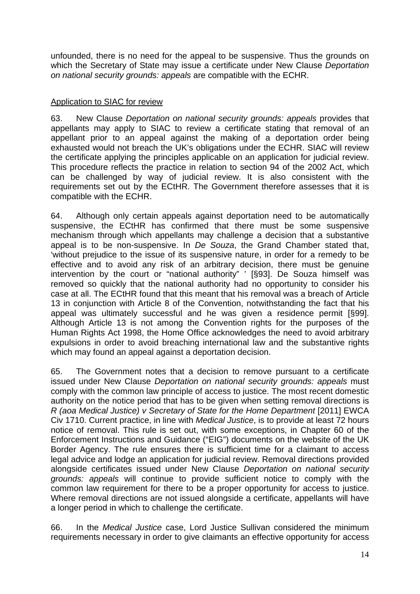unfounded, there is no need for the appeal to be suspensive. Thus the grounds on which the Secretary of State may issue a certificate under New Clause *Deportation on national security grounds: appeals* are compatible with the ECHR.

### Application to SIAC for review

63. New Clause *Deportation on national security grounds: appeals* provides that appellants may apply to SIAC to review a certificate stating that removal of an appellant prior to an appeal against the making of a deportation order being exhausted would not breach the UK's obligations under the ECHR. SIAC will review the certificate applying the principles applicable on an application for judicial review. This procedure reflects the practice in relation to section 94 of the 2002 Act, which can be challenged by way of judicial review. It is also consistent with the requirements set out by the ECtHR. The Government therefore assesses that it is compatible with the ECHR.

64. Although only certain appeals against deportation need to be automatically suspensive, the ECtHR has confirmed that there must be some suspensive mechanism through which appellants may challenge a decision that a substantive appeal is to be non-suspensive. In *De Souza*, the Grand Chamber stated that, 'without prejudice to the issue of its suspensive nature, in order for a remedy to be effective and to avoid any risk of an arbitrary decision, there must be genuine intervention by the court or "national authority" ' [§93]. De Souza himself was removed so quickly that the national authority had no opportunity to consider his case at all. The ECtHR found that this meant that his removal was a breach of Article 13 in conjunction with Article 8 of the Convention, notwithstanding the fact that his appeal was ultimately successful and he was given a residence permit [§99]. Although Article 13 is not among the Convention rights for the purposes of the Human Rights Act 1998, the Home Office acknowledges the need to avoid arbitrary expulsions in order to avoid breaching international law and the substantive rights which may found an appeal against a deportation decision.

65. The Government notes that a decision to remove pursuant to a certificate issued under New Clause *Deportation on national security grounds: appeals* must comply with the common law principle of access to justice. The most recent domestic authority on the notice period that has to be given when setting removal directions is *R* (aoa Medical Justice) *v* Secretary of State for the Home Department [2011] EWCA Civ 1710. Current practice, in line with *Medical Justice*, is to provide at least 72 hours notice of removal. This rule is set out, with some exceptions, in Chapter 60 of the Enforcement Instructions and Guidance ("EIG") documents on the website of the UK Border Agency. The rule ensures there is sufficient time for a claimant to access legal advice and lodge an application for judicial review. Removal directions provided alongside certificates issued under New Clause *Deportation on national security grounds: appeals* will continue to provide sufficient notice to comply with the common law requirement for there to be a proper opportunity for access to justice. Where removal directions are not issued alongside a certificate, appellants will have a longer period in which to challenge the certificate.

66. In the *Medical Justice* case, Lord Justice Sullivan considered the minimum requirements necessary in order to give claimants an effective opportunity for access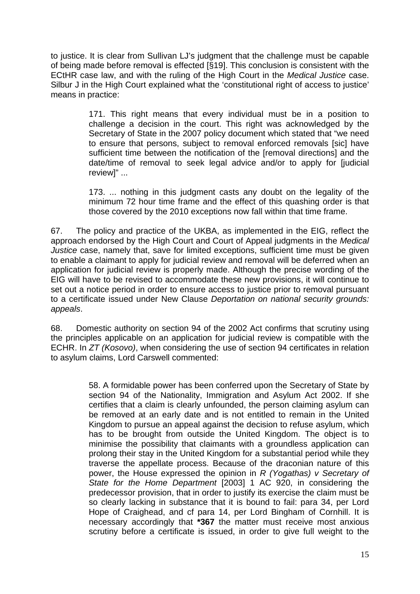to justice. It is clear from Sullivan LJ's judgment that the challenge must be capable of being made before removal is effected [§19]. This conclusion is consistent with the ECtHR case law, and with the ruling of the High Court in the *Medical Justice* case. Silbur J in the High Court explained what the 'constitutional right of access to justice' means in practice:

> 171. This right means that every individual must be in a position to challenge a decision in the court. This right was acknowledged by the Secretary of State in the 2007 policy document which stated that "we need to ensure that persons, subject to removal enforced removals [sic] have sufficient time between the notification of the [removal directions] and the date/time of removal to seek legal advice and/or to apply for [judicial review]" ...

> 173. ... nothing in this judgment casts any doubt on the legality of the minimum 72 hour time frame and the effect of this quashing order is that those covered by the 2010 exceptions now fall within that time frame.

67. The policy and practice of the UKBA, as implemented in the EIG, reflect the approach endorsed by the High Court and Court of Appeal judgments in the *Medical Justice* case, namely that, save for limited exceptions, sufficient time must be given to enable a claimant to apply for judicial review and removal will be deferred when an application for judicial review is properly made. Although the precise wording of the EIG will have to be revised to accommodate these new provisions, it will continue to set out a notice period in order to ensure access to justice prior to removal pursuant to a certificate issued under New Clause *Deportation on national security grounds: appeals*.

68. Domestic authority on section 94 of the 2002 Act confirms that scrutiny using the principles applicable on an application for judicial review is compatible with the ECHR. In *ZT (Kosovo)*, when considering the use of section 94 certificates in relation to asylum claims, Lord Carswell commented:

> 58. A formidable power has been conferred upon the Secretary of State by [section 94 of the Nationality, Immigration and Asylum Act 2002.](http://login.westlaw.co.uk/maf/wluk/app/document?src=doc&linktype=ref&&context=22&crumb-action=replace&docguid=IA59EF870E44B11DA8D70A0E70A78ED65) If she certifies that a claim is clearly unfounded, the person claiming asylum can be removed at an early date and is not entitled to remain in the United Kingdom to pursue an appeal against the decision to refuse asylum, which has to be brought from outside the United Kingdom. The object is to minimise the possibility that claimants with a groundless application can prolong their stay in the United Kingdom for a substantial period while they traverse the appellate process. Because of the draconian nature of this power, the House expressed the opinion in *[R \(Yogathas\) v Secretary of](http://login.westlaw.co.uk/maf/wluk/app/document?src=doc&linktype=ref&&context=22&crumb-action=replace&docguid=I7FCDF600E42811DA8FC2A0F0355337E9)  [State for the Home Department](http://login.westlaw.co.uk/maf/wluk/app/document?src=doc&linktype=ref&&context=22&crumb-action=replace&docguid=I7FCDF600E42811DA8FC2A0F0355337E9)* [2003] 1 AC 920, in considering the predecessor provision, that in order to justify its exercise the claim must be so clearly lacking in substance that it is bound to fail: para 34, per Lord Hope of Craighead, and cf para 14, per Lord Bingham of Cornhill. It is necessary accordingly that **\*367** the matter must receive most anxious scrutiny before a certificate is issued, in order to give full weight to the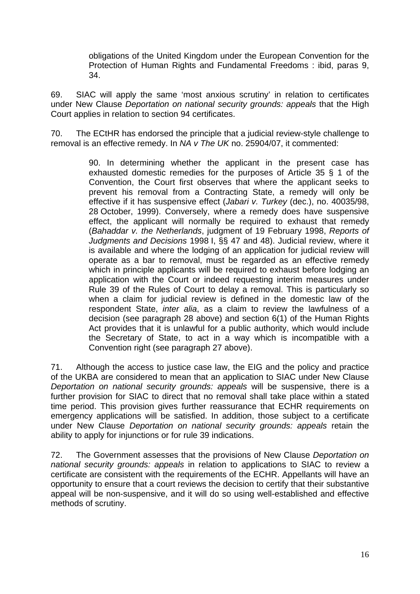obligations of the United Kingdom under the European Convention for the Protection of Human Rights and Fundamental Freedoms : ibid, paras 9, 34.

69. SIAC will apply the same 'most anxious scrutiny' in relation to certificates under New Clause *Deportation on national security grounds: appeals* that the High Court applies in relation to section 94 certificates.

70. The ECtHR has endorsed the principle that a judicial review-style challenge to removal is an effective remedy. In *NA v The UK* no. 25904/07, it commented:

> 90. In determining whether the applicant in the present case has exhausted domestic remedies for the purposes of Article 35 § 1 of the Convention, the Court first observes that where the applicant seeks to prevent his removal from a Contracting State, a remedy will only be effective if it has suspensive effect (*Jabari v. Turkey* (dec.), no. 40035/98, 28 October, 1999). Conversely, where a remedy does have suspensive effect, the applicant will normally be required to exhaust that remedy (*Bahaddar v. the Netherlands*, judgment of 19 February 1998, *Reports of Judgments and Decisions* 1998 I, §§ 47 and 48). Judicial review, where it is available and where the lodging of an application for judicial review will operate as a bar to removal, must be regarded as an effective remedy which in principle applicants will be required to exhaust before lodging an application with the Court or indeed requesting interim measures under Rule 39 of the Rules of Court to delay a removal. This is particularly so when a claim for judicial review is defined in the domestic law of the respondent State, *inter alia*, as a claim to review the lawfulness of a decision (see paragraph 28 above) and section 6(1) of the Human Rights Act provides that it is unlawful for a public authority, which would include the Secretary of State, to act in a way which is incompatible with a Convention right (see paragraph 27 above).

71. Although the access to justice case law, the EIG and the policy and practice of the UKBA are considered to mean that an application to SIAC under New Clause *Deportation on national security grounds: appeals* will be suspensive, there is a further provision for SIAC to direct that no removal shall take place within a stated time period. This provision gives further reassurance that ECHR requirements on emergency applications will be satisfied. In addition, those subject to a certificate under New Clause *Deportation on national security grounds: appeals* retain the ability to apply for injunctions or for rule 39 indications.

72. The Government assesses that the provisions of New Clause *Deportation on national security grounds: appeals* in relation to applications to SIAC to review a certificate are consistent with the requirements of the ECHR. Appellants will have an opportunity to ensure that a court reviews the decision to certify that their substantive appeal will be non-suspensive, and it will do so using well-established and effective methods of scrutiny.